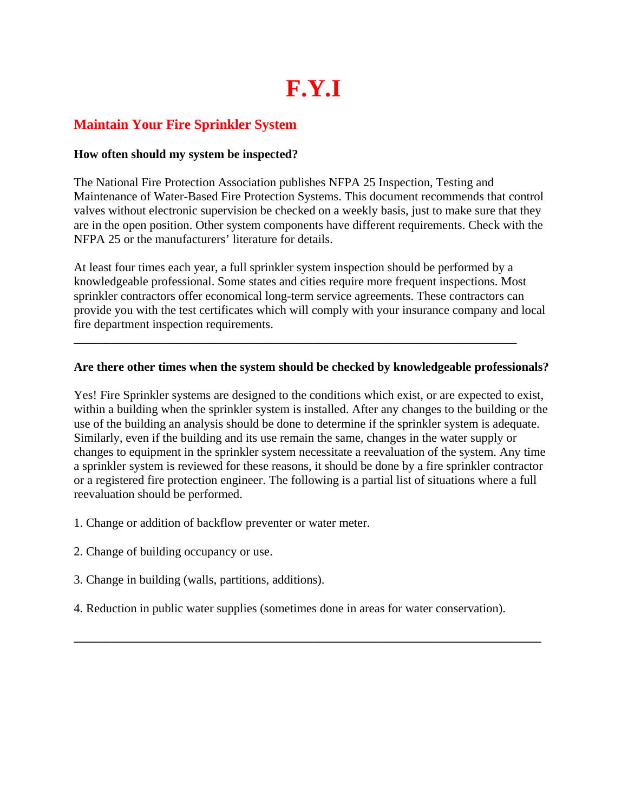# **F.Y.I**

# **Maintain Your Fire Sprinkler System**

# **How often should my system be inspected?**

The National Fire Protection Association publishes NFPA 25 Inspection, Testing and Maintenance of Water-Based Fire Protection Systems. This document recommends that control valves without electronic supervision be checked on a weekly basis, just to make sure that they are in the open position. Other system components have different requirements. Check with the NFPA 25 or the manufacturers' literature for details.

At least four times each year, a full sprinkler system inspection should be performed by a knowledgeable professional. Some states and cities require more frequent inspections. Most sprinkler contractors offer economical long-term service agreements. These contractors can provide you with the test certificates which will comply with your insurance company and local fire department inspection requirements.

# **Are there other times when the system should be checked by knowledgeable professionals?**

\_\_\_\_\_\_\_\_\_\_\_\_\_\_\_\_\_\_\_\_\_\_\_\_\_\_\_\_\_\_\_\_\_\_\_\_\_\_\_\_\_\_\_\_\_\_\_\_\_\_\_\_\_\_\_\_\_\_\_\_\_\_\_\_\_\_\_\_\_\_\_\_

Yes! Fire Sprinkler systems are designed to the conditions which exist, or are expected to exist, within a building when the sprinkler system is installed. After any changes to the building or the use of the building an analysis should be done to determine if the sprinkler system is adequate. Similarly, even if the building and its use remain the same, changes in the water supply or changes to equipment in the sprinkler system necessitate a reevaluation of the system. Any time a sprinkler system is reviewed for these reasons, it should be done by a fire sprinkler contractor or a registered fire protection engineer. The following is a partial list of situations where a full reevaluation should be performed.

- 1. Change or addition of backflow preventer or water meter.
- 2. Change of building occupancy or use.
- 3. Change in building (walls, partitions, additions).
- 4. Reduction in public water supplies (sometimes done in areas for water conservation).

**\_\_\_\_\_\_\_\_\_\_\_\_\_\_\_\_\_\_\_\_\_\_\_\_\_\_\_\_\_\_\_\_\_\_\_\_\_\_\_\_\_\_\_\_\_\_\_\_\_\_\_\_\_\_\_\_\_\_\_\_\_\_\_\_\_\_\_\_\_\_\_\_\_\_\_\_**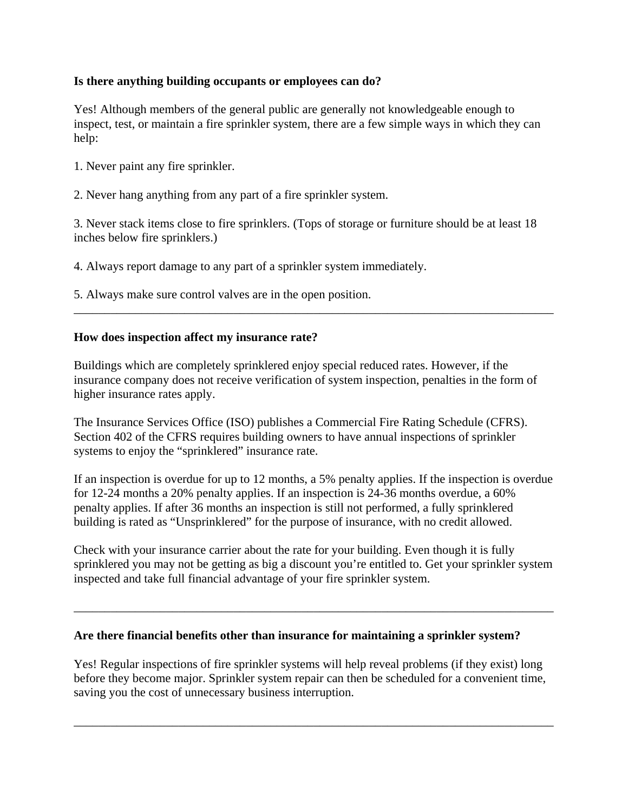# **Is there anything building occupants or employees can do?**

Yes! Although members of the general public are generally not knowledgeable enough to inspect, test, or maintain a fire sprinkler system, there are a few simple ways in which they can help:

- 1. Never paint any fire sprinkler.
- 2. Never hang anything from any part of a fire sprinkler system.

3. Never stack items close to fire sprinklers. (Tops of storage or furniture should be at least 18 inches below fire sprinklers.)

4. Always report damage to any part of a sprinkler system immediately.

5. Always make sure control valves are in the open position.

#### **How does inspection affect my insurance rate?**

Buildings which are completely sprinklered enjoy special reduced rates. However, if the insurance company does not receive verification of system inspection, penalties in the form of higher insurance rates apply.

\_\_\_\_\_\_\_\_\_\_\_\_\_\_\_\_\_\_\_\_\_\_\_\_\_\_\_\_\_\_\_\_\_\_\_\_\_\_\_\_\_\_\_\_\_\_\_\_\_\_\_\_\_\_\_\_\_\_\_\_\_\_\_\_\_\_\_\_\_\_\_\_\_\_\_\_\_\_

The Insurance Services Office (ISO) publishes a Commercial Fire Rating Schedule (CFRS). Section 402 of the CFRS requires building owners to have annual inspections of sprinkler systems to enjoy the "sprinklered" insurance rate.

If an inspection is overdue for up to 12 months, a 5% penalty applies. If the inspection is overdue for 12-24 months a 20% penalty applies. If an inspection is 24-36 months overdue, a 60% penalty applies. If after 36 months an inspection is still not performed, a fully sprinklered building is rated as "Unsprinklered" for the purpose of insurance, with no credit allowed.

Check with your insurance carrier about the rate for your building. Even though it is fully sprinklered you may not be getting as big a discount you're entitled to. Get your sprinkler system inspected and take full financial advantage of your fire sprinkler system.

\_\_\_\_\_\_\_\_\_\_\_\_\_\_\_\_\_\_\_\_\_\_\_\_\_\_\_\_\_\_\_\_\_\_\_\_\_\_\_\_\_\_\_\_\_\_\_\_\_\_\_\_\_\_\_\_\_\_\_\_\_\_\_\_\_\_\_\_\_\_\_\_\_\_\_\_\_\_

#### **Are there financial benefits other than insurance for maintaining a sprinkler system?**

Yes! Regular inspections of fire sprinkler systems will help reveal problems (if they exist) long before they become major. Sprinkler system repair can then be scheduled for a convenient time, saving you the cost of unnecessary business interruption.

\_\_\_\_\_\_\_\_\_\_\_\_\_\_\_\_\_\_\_\_\_\_\_\_\_\_\_\_\_\_\_\_\_\_\_\_\_\_\_\_\_\_\_\_\_\_\_\_\_\_\_\_\_\_\_\_\_\_\_\_\_\_\_\_\_\_\_\_\_\_\_\_\_\_\_\_\_\_